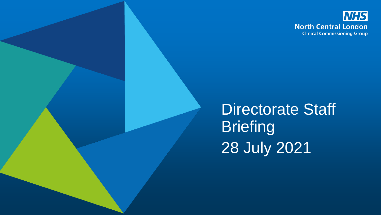

Directorate Staff **Briefing** 28 July 2021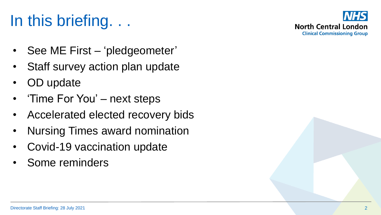# In this briefing. . .



- See ME First 'pledgeometer'
- Staff survey action plan update
- OD update
- 'Time For You' next steps
- Accelerated elected recovery bids
- Nursing Times award nomination
- Covid-19 vaccination update
- Some reminders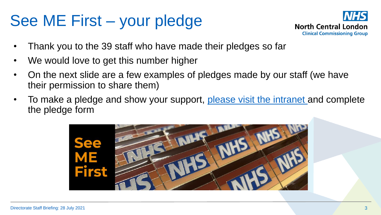### See ME First – your pledge



- Thank you to the 39 staff who have made their pledges so far
- We would love to get this number higher
- On the next slide are a few examples of pledges made by our staff (we have their permission to share them)
- To make a pledge and show your support, [please visit the intranet](https://intranet.northcentrallondonccg.nhs.uk/working/see-me-first.htm) and complete the pledge form

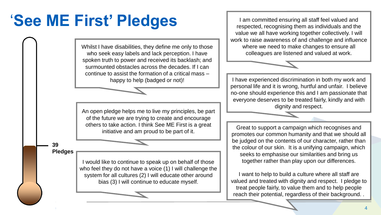## '**See ME First' Pledges**

Whilst I have disabilities, they define me only to those who seek easy labels and lack perception. I have spoken truth to power and received its backlash; and surmounted obstacles across the decades. If I can continue to assist the formation of a critical mass –

An open pledge helps me to live my principles, be part of the future we are trying to create and encourage others to take action. I think See ME First is a great initiative and am proud to be part of it.

**39 Pledges**

> I would like to continue to speak up on behalf of those who feel they do not have a voice (1) I will challenge the system for all cultures (2) I will educate other around bias (3) I will continue to educate myself.

I am committed ensuring all staff feel valued and respected, recognising them as individuals and the value we all have working together collectively. I will work to raise awareness of and challenge and influence where we need to make changes to ensure all colleagues are listened and valued at work.

happy to help (badged or not)! | I have experienced discrimination in both my work and personal life and it is wrong, hurtful and unfair. I believe no-one should experience this and I am passionate that everyone deserves to be treated fairly, kindly and with dignity and respect.

> Great to support a campaign which recognises and promotes our common humanity and that we should all be judged on the contents of our character, rather than the colour of our skin. It is a unifying campaign, which seeks to emphasise our similarities and bring us together rather than play upon our differences.

I want to help to build a culture where all staff are valued and treated with dignity and respect. I pledge to treat people fairly, to value them and to help people reach their potential, regardless of their background. .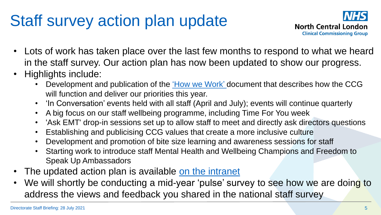## Staff survey action plan update



- Lots of work has taken place over the last few months to respond to what we heard in the staff survey. Our action plan has now been updated to show our progress.
- Highlights include:
	- Development and publication of the *How we Work'* document that describes how the CCG will function and deliver our priorities this year.
	- 'In Conversation' events held with all staff (April and July); events will continue quarterly
	- A big focus on our staff wellbeing programme, including Time For You week
	- 'Ask EMT' drop-in sessions set up to allow staff to meet and directly ask directors questions
	- Establishing and publicising CCG values that create a more inclusive culture
	- Development and promotion of bite size learning and awareness sessions for staff
	- Starting work to introduce staff Mental Health and Wellbeing Champions and Freedom to Speak Up Ambassadors
- The updated action plan is available on the intranet
- We will shortly be conducting a mid-year 'pulse' survey to see how we are doing to address the views and feedback you shared in the national staff survey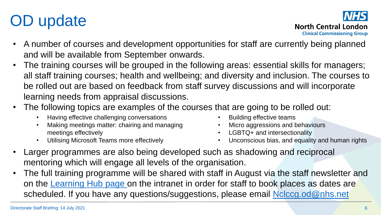# OD update



- A number of courses and development opportunities for staff are currently being planned and will be available from September onwards.
- The training courses will be grouped in the following areas: essential skills for managers; all staff training courses; health and wellbeing; and diversity and inclusion. The courses to be rolled out are based on feedback from staff survey discussions and will incorporate learning needs from appraisal discussions.
- The following topics are examples of the courses that are going to be rolled out:
	- Having effective challenging conversations
	- Making meetings matter: chairing and managing meetings effectively
	- Utilising Microsoft Teams more effectively
- Building effective teams
- Micro aggressions and behaviours
- LGBTQ+ and intersectionality
- Unconscious bias, and equality and human rights
- Larger programmes are also being developed such as shadowing and reciprocal mentoring which will engage all levels of the organisation.
- The full training programme will be shared with staff in August via the staff newsletter and on the [Learning Hub page o](https://intranet.northcentrallondonccg.nhs.uk/training/learning-hub.htm)n the intranet in order for staff to book places as dates are scheduled. If you have any questions/suggestions, please email [Nclccg.od@nhs.net](mailto:Nclccg.od@nhs.net)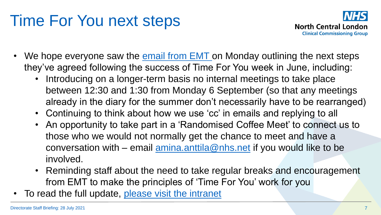### Time For You next steps



- We hope everyone saw the  $email from EMT on Monday  
outlining the next steps$ </u> they've agreed following the success of Time For You week in June, including:
	- Introducing on a longer-term basis no internal meetings to take place between 12:30 and 1:30 from Monday 6 September (so that any meetings already in the diary for the summer don't necessarily have to be rearranged)
	- Continuing to think about how we use 'cc' in emails and replying to all
	- An opportunity to take part in a 'Randomised Coffee Meet' to connect us to those who we would not normally get the chance to meet and have a conversation with – email  $\frac{1}{2}$  amina.anttila @nhs.net if you would like to be involved.
	- Reminding staff about the need to take regular breaks and encouragement from EMT to make the principles of 'Time For You' work for you
- To read the full update, [please visit the intranet](https://intranet.northcentrallondonccg.nhs.uk/ncl-news/time-for-you-next-steps/453307)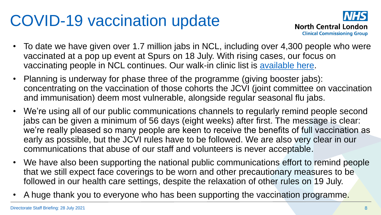#### COVID-19 vaccination update



- To date we have given over 1.7 million jabs in NCL, including over 4,300 people who were vaccinated at a pop up event at Spurs on 18 July. With rising cases, our focus on vaccinating people in NCL continues. Our walk-in clinic list is [available here.](https://northcentrallondonccg.nhs.uk/my-health/covid-19/covid-19-vaccinations-in-north-central-london/walk-in-vaccination-clinics/)
- Planning is underway for phase three of the programme (giving booster jabs): concentrating on the vaccination of those cohorts the JCVI (joint committee on vaccination and immunisation) deem most vulnerable, alongside regular seasonal flu jabs.
- We're using all of our public communications channels to regularly remind people second jabs can be given a minimum of 56 days (eight weeks) after first. The message is clear: we're really pleased so many people are keen to receive the benefits of full vaccination as early as possible, but the JCVI rules have to be followed. We are also very clear in our communications that abuse of our staff and volunteers is never acceptable.
- We have also been supporting the national public communications effort to remind people that we still expect face coverings to be worn and other precautionary measures to be followed in our health care settings, despite the relaxation of other rules on 19 July.
- A huge thank you to everyone who has been supporting the vaccination programme.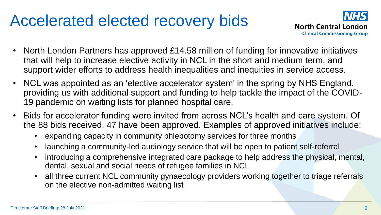#### Accelerated elected recovery bids



- North London Partners has approved £14.58 million of funding for innovative initiatives that will help to increase elective activity in NCL in the short and medium term, and support wider efforts to address health inequalities and inequities in service access.
- NCL was appointed as an 'elective accelerator system' in the spring by NHS England, providing us with additional support and funding to help tackle the impact of the COVID-19 pandemic on waiting lists for planned hospital care.
- Bids for accelerator funding were invited from across NCL's health and care system. Of the 88 bids received, 47 have been approved. Examples of approved initiatives include:
	- expanding capacity in community phlebotomy services for three months
	- launching a community-led audiology service that will be open to patient self-referral
	- introducing a comprehensive integrated care package to help address the physical, mental, dental, sexual and social needs of refugee families in NCL
	- all three current NCL community gynaecology providers working together to triage referrals on the elective non-admitted waiting list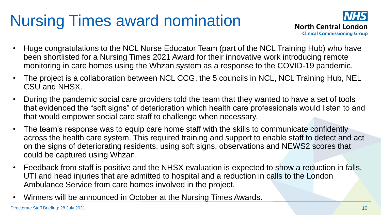# Nursing Times award nomination



- Huge congratulations to the NCL Nurse Educator Team (part of the NCL Training Hub) who have been shortlisted for a Nursing Times 2021 Award for their innovative work introducing remote monitoring in care homes using the Whzan system as a response to the COVID-19 pandemic.
- The project is a collaboration between NCL CCG, the 5 councils in NCL, NCL Training Hub, NEL CSU and NHSX.
- During the pandemic social care providers told the team that they wanted to have a set of tools that evidenced the "soft signs" of deterioration which health care professionals would listen to and that would empower social care staff to challenge when necessary.
- The team's response was to equip care home staff with the skills to communicate confidently across the health care system. This required training and support to enable staff to detect and act on the signs of deteriorating residents, using soft signs, observations and NEWS2 scores that could be captured using Whzan.
- Feedback from staff is positive and the NHSX evaluation is expected to show a reduction in falls, UTI and head injuries that are admitted to hospital and a reduction in calls to the London Ambulance Service from care homes involved in the project.
- Winners will be announced in October at the Nursing Times Awards.